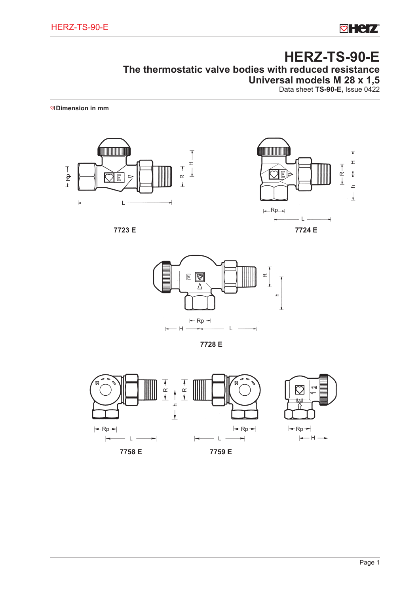**ø Herz** 

# **HERZ-TS-90-E The thermostatic valve bodies with reduced resistance Universal models M 28 x 1,5** Data sheet **TS-90-E,** Issue 0422

**Dimension in mm**











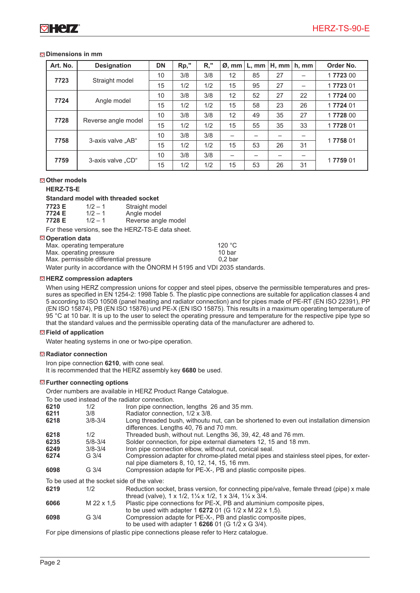# **Dimensions in mm**

| Art. No. | <b>Designation</b>  | <b>DN</b> | Rp," | $R,$ " | $\varnothing$ , mm       | $L.$ mm | H, mm | h, mm                    | Order No. |  |
|----------|---------------------|-----------|------|--------|--------------------------|---------|-------|--------------------------|-----------|--|
|          | Straight model      | 10        | 3/8  | 3/8    | 12                       | 85      | 27    |                          | 1772300   |  |
| 7723     |                     | 15        | 1/2  | 1/2    | 15                       | 95      | 27    |                          | 1772301   |  |
|          | 7724<br>Angle model | 10        | 3/8  | 3/8    | 12                       | 52      | 27    | 22                       | 17724 00  |  |
|          |                     | 15        | 1/2  | 1/2    | 15                       | 58      | 23    | 26                       | 1772401   |  |
| 7728     | Reverse angle model | 10        | 3/8  | 3/8    | 12                       | 49      | 35    | 27                       | 17728 00  |  |
|          |                     | 15        | 1/2  | 1/2    | 15                       | 55      | 35    | 33                       | 1772801   |  |
| 7758     | 3-axis valve "AB"   | 10        | 3/8  | 3/8    | $\overline{\phantom{0}}$ |         |       | $\overline{\phantom{m}}$ | 1775801   |  |
|          |                     | 15        | 1/2  | 1/2    | 15                       | 53      | 26    | 31                       |           |  |
| 7759     | 3-axis valve "CD"   | 10        | 3/8  | 3/8    | —                        |         |       |                          |           |  |
|          |                     | 15        | 1/2  | 1/2    | 15                       | 53      | 26    | 31                       | 1775901   |  |

# **Other models**

# **HERZ-TS-E**

# **Standard model with threaded socket**

| 7723 E | $1/2 - 1$ | Straight model |
|--------|-----------|----------------|
| 7724 E | $1/2 - 1$ | Angle model    |

**7728 E** 1/2 – 1 Reverse angle model

For these versions, see the HERZ-TS-E data sheet.

# **Operation data**

| Max. operating temperature                                               | 120 $\degree$ C   |
|--------------------------------------------------------------------------|-------------------|
| Max. operating pressure                                                  | 10 <sub>bar</sub> |
| Max. permissible differential pressure                                   | $0.2b$ ar         |
| Water purity in accordance with the ÖNORM H 5195 and VDI 2035 standards. |                   |

# **HERZ compression adapters**

When using HERZ compression unions for copper and steel pipes, observe the permissible temperatures and pressures as specified in EN 1254-2: 1998 Table 5. The plastic pipe connections are suitable for application classes 4 and 5 according to ISO 10508 (panel heating and radiator connection) and for pipes made of PE-RT (EN ISO 22391), PP (EN ISO 15874), PB (EN ISO 15876) und PE-X (EN ISO 15875). This results in a maximum operating temperature of 95 °C at 10 bar. It is up to the user to select the operating pressure and temperature for the respective pipe type so that the standard values and the permissible operating data of the manufacturer are adhered to.

# **Field of application**

Water heating systems in one or two-pipe operation.

# **Radiator connection**

Iron pipe connection **6210**, with cone seal. It is recommended that the HERZ assembly key **6680** be used.

# **Further connecting options**

Order numbers are available in HERZ Product Range Catalogue.

To be used instead of the radiator connection.

|      |                                             | TO DG QUGQ MIULGO OF LIIG TOQIQLOF OOTHIGOLIOH.                                                                                                      |
|------|---------------------------------------------|------------------------------------------------------------------------------------------------------------------------------------------------------|
| 6210 | 1/2                                         | Iron pipe connection, lengths 26 and 35 mm.                                                                                                          |
| 6211 | 3/8                                         | Radiator connection. 1/2 x 3/8.                                                                                                                      |
| 6218 | $3/8 - 3/4$                                 | Long threaded bush, withoutu nut, can be shortened to even out installation dimension<br>differences. Lengths 40, 76 and 70 mm.                      |
| 6218 | 1/2                                         | Threaded bush, without nut. Lengths 36, 39, 42, 48 and 76 mm.                                                                                        |
| 6235 | $5/8 - 3/4$                                 | Solder connection, for pipe external diameters 12, 15 and 18 mm.                                                                                     |
| 6249 | $3/8 - 3/4$                                 | Iron pipe connection elbow, without nut, conical seal.                                                                                               |
| 6274 | $G \frac{3}{4}$                             | Compression adapter for chrome-plated metal pipes and stainless steel pipes, for exter-<br>nal pipe diameters 8, 10, 12, 14, 15, 16 mm.              |
| 6098 | $G \frac{3}{4}$                             | Compression adapte for PE-X-, PB and plastic composite pipes.                                                                                        |
|      | To be used at the socket side of the valve: |                                                                                                                                                      |
| 6219 | 1/2                                         | Reduction socket, brass version, for connecting pipe/valve, female thread (pipe) x male<br>thread (valve), 1 x 1/2, 11/4 x 1/2, 1 x 3/4, 11/4 x 3/4. |
| 6066 | M 22 x 1.5                                  | Plastic pipe connections for PE-X, PB and aluminium composite pipes,                                                                                 |
|      |                                             | to be used with adapter 1 6272 01 (G 1/2 x M 22 x 1,5).                                                                                              |
| 6098 | G <sub>3/4</sub>                            | Compression adapte for PE-X-, PB and plastic composite pipes,<br>to be used with adapter 1 6266 01 (G $1/2 \times G$ 3/4).                           |

For pipe dimensions of plastic pipe connections please refer to Herz catalogue.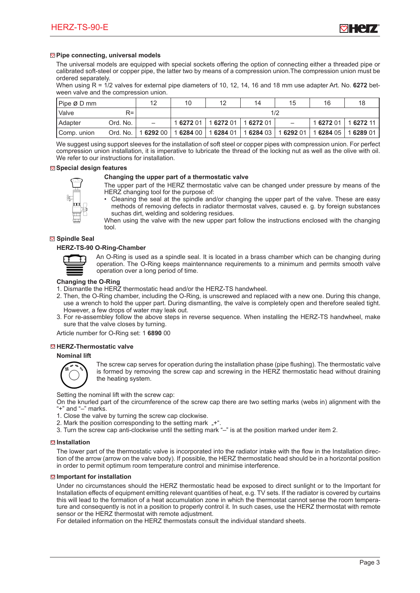

# **Pipe connecting, universal models**

The universal models are equipped with special sockets offering the option of connecting either a threaded pipe or calibrated soft-steel or copper pipe, the latter two by means of a compression union.The compression union must be ordered separately.

When using R = 1/2 valves for external pipe diameters of 10, 12, 14, 16 and 18 mm use adapter Art. No. **6272** between valve and the compression union.

| Pipe Ø D mm   |          | 12                                                                   | 10 | 12                                | 14  | 15                       | 16                  |           |
|---------------|----------|----------------------------------------------------------------------|----|-----------------------------------|-----|--------------------------|---------------------|-----------|
| l Valve       | $R =$    |                                                                      |    |                                   | 1/2 |                          |                     |           |
| Adapter       | Ord. No. | -                                                                    |    | 1 6272 01   1 6272 01   1 6272 01 |     | $\overline{\phantom{0}}$ | 1 6272 01 1 6272 11 |           |
| l Comp. union |          | Ord. No.   1 6292 00   1 6284 00   1 6284 01   1 6284 03   1 6292 01 |    |                                   |     |                          | 1 6284 05           | 1 6289 01 |

We suggest using support sleeves for the installation of soft steel or copper pipes with compression union. For perfect compression union installation, it is imperative to lubricate the thread of the locking nut as well as the olive with oil. We refer to our instructions for installation.

#### **Special design features**

# **Changing the upper part of a thermostatic valve**



- The upper part of the HERZ thermostatic valve can be changed under pressure by means of the HERZ changing tool for the purpose of:
- Cleaning the seal at the spindle and/or changing the upper part of the valve. These are easy methods of removing defects in radiator thermostat valves, caused e. g. by foreign substances suchas dirt, welding and soldering residues.

When using the valve with the new upper part follow the instructions enclosed with the changing tool.

# **Spindle Seal**

# **HERZ-TS-90 O-Ring-Chamber**



An O-Ring is used as a spindle seal. It is located in a brass chamber which can be changing during operation. The O-Ring keeps maintennance requirements to a minimum and permits smooth valve operation over a long period of time.

# **Changing the O-Ring**

- 1. Dismantle the HERZ thermostatic head and/or the HERZ-TS handwheel.
- 2. Then, the O-Ring chamber, including the O-Ring, is unscrewed and replaced with a new one. During this change, use a wrench to hold the upper part. During dismantling, the valve is completely open and therefore sealed tight. However, a few drops of water may leak out.
- 3. For re-assembley follow the above steps in reverse sequence. When installing the HERZ-TS handwheel, make sure that the valve closes by turning.

Article number for O-Ring set: 1 **6890** 00

# **HERZ-Thermostatic valve**

#### **Nominal lift**



The screw cap serves for operation during the installation phase (pipe flushing). The thermostatic valve is formed by removing the screw cap and screwing in the HERZ thermostatic head without draining the heating system.

Setting the nominal lift with the screw cap:

On the knurled part of the circumference of the screw cap there are two setting marks (webs in) alignment with the "+" and "–" marks.

- 1. Close the valve by turning the screw cap clockwise.
- 2. Mark the position corresponding to the setting mark "+"
- 3. Turn the screw cap anti-clockwise until the setting mark "–" is at the position marked under item 2.

# **Installation**

The lower part of the thermostatic valve is incorporated into the radiator intake with the flow in the Installation direction of the arrow (arrow on the valve body). If possible, the HERZ thermostatic head should be in a horizontal position in order to permit optimum room temperature control and minimise interference.

#### **Important for installation**

Under no circumstances should the HERZ thermostatic head be exposed to direct sunlight or to the Important for Installation effects of equipment emitting relevant quantities of heat, e.g. TV sets. If the radiator is covered by curtains this will lead to the formation of a heat accumulation zone in which the thermostat cannot sense the room temperature and consequently is not in a position to properly control it. In such cases, use the HERZ thermostat with remote sensor or the HERZ thermostat with remote adjustment.

For detailed information on the HERZ thermostats consult the individual standard sheets.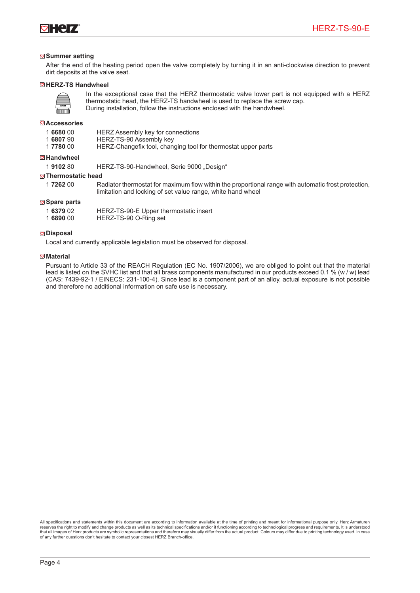

# **Summer setting**

After the end of the heating period open the valve completely by turning it in an anti-clockwise direction to prevent dirt deposits at the valve seat.

## **HERZ-TS Handwheel**



In the exceptional case that the HERZ thermostatic valve lower part is not equipped with a HERZ thermostatic head, the HERZ-TS handwheel is used to replace the screw cap. During installation, follow the instructions enclosed with the handwheel.

# **Accessories**

|  | 1668000 | HERZ Assembly key for connections |  |  |  |
|--|---------|-----------------------------------|--|--|--|
|--|---------|-----------------------------------|--|--|--|

1 **6807** 90 HERZ-TS-90 Assembly key<br>1 **7780** 00 HERZ-Changefix tool, chan

HERZ-Changefix tool, changing tool for thermostat upper parts

#### **Handwheel**

1 **9102** 80 HERZ-TS-90-Handwheel, Serie 9000 "Design"

## **Thermostatic head**

1 **7262** 00 Radiator thermostat for maximum flow within the proportional range with automatic frost protection, limitation and locking of set value range, white hand wheel

# **Spare parts**

| 1 6379 02 | HERZ-TS-90-E Upper thermostatic insert |
|-----------|----------------------------------------|
| 1689000   | HERZ-TS-90 O-Ring set                  |

# **Disposal**

Local and currently applicable legislation must be observed for disposal.

#### **<del><b>**</u><sup> $\boldsymbol{\nabla}$ </sup> Material</del>

Pursuant to Article 33 of the REACH Regulation (EC No. 1907/2006), we are obliged to point out that the material lead is listed on the SVHC list and that all brass components manufactured in our products exceed 0.1 % (w / w) lead (CAS: 7439-92-1 / EINECS: 231-100-4). Since lead is a component part of an alloy, actual exposure is not possible and therefore no additional information on safe use is necessary.

All specifications and statements within this document are according to information available at the time of printing and meant for informational purpose only. Herz Armaturen reserves the right to modify and change products as well as its technical specifications and/or it functioning according to technological progress and requirements. It is understood<br>that all images of Herz products are sym of any further questions don't hesitate to contact your closest HERZ Branch-office.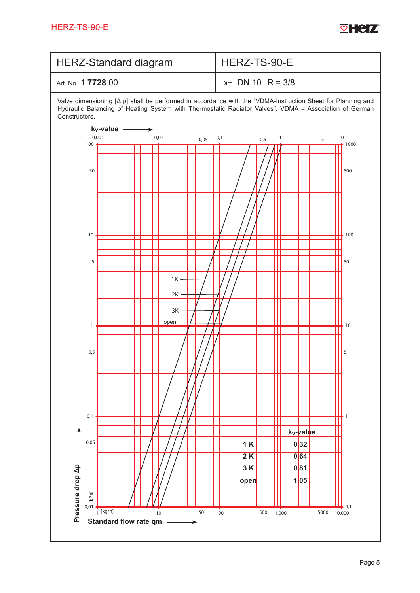

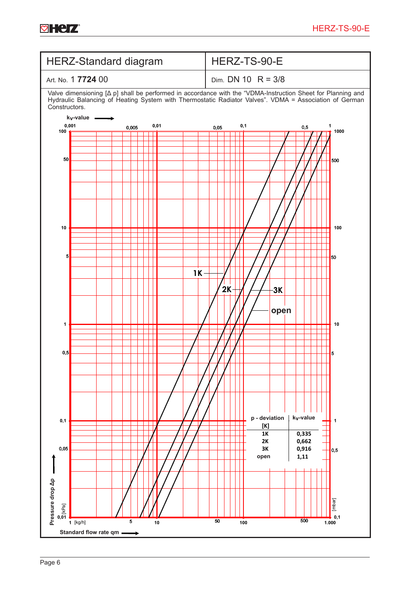

**øHerz**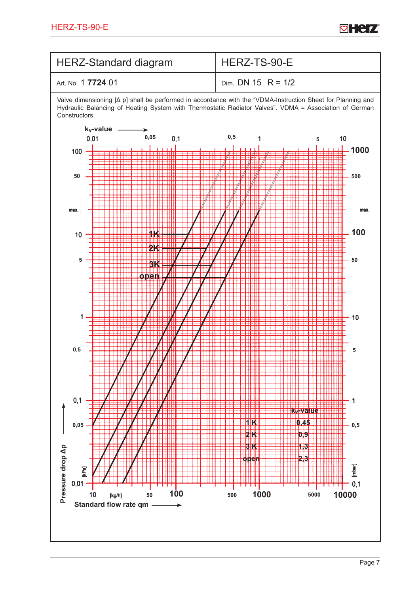

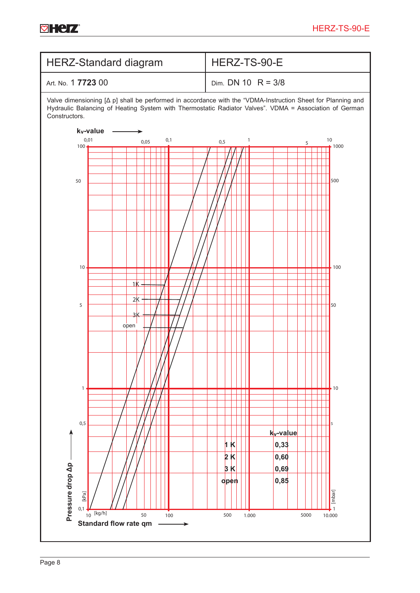

**øHerz**